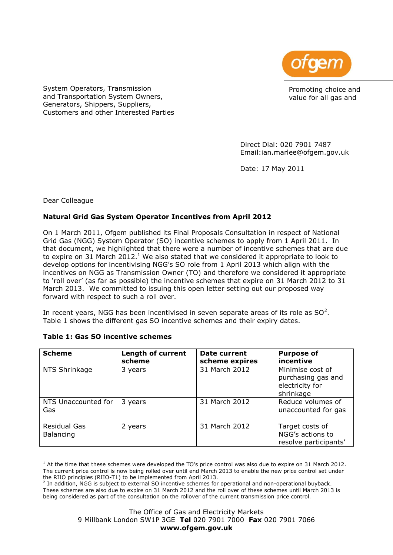

Promoting choice and value for all gas and

System Operators, Transmission and Transportation System Owners, Generators, Shippers, Suppliers, Customers and other Interested Parties

> Direct Dial: 020 7901 7487 Email:ian.marlee@ofgem.gov.uk

Date: 17 May 2011

Dear Colleague

# **Natural Grid Gas System Operator Incentives from April 2012**

On 1 March 2011, Ofgem published its Final Proposals Consultation in respect of National Grid Gas (NGG) System Operator (SO) incentive schemes to apply from 1 April 2011. In that document, we highlighted that there were a number of incentive schemes that are due to expire on 31 March 2012.<sup>1</sup> We also stated that we considered it appropriate to look to develop options for incentivising NGG's SO role from 1 April 2013 which align with the incentives on NGG as Transmission Owner (TO) and therefore we considered it appropriate to 'roll over' (as far as possible) the incentive schemes that expire on 31 March 2012 to 31 March 2013. We committed to issuing this open letter setting out our proposed way forward with respect to such a roll over.

In recent years, NGG has been incentivised in seven separate areas of its role as SO<sup>2</sup>. Table 1 shows the different gas SO incentive schemes and their expiry dates.

| <b>Scheme</b>                    | <b>Length of current</b><br>scheme | Date current<br>scheme expires | <b>Purpose of</b><br>incentive                                         |
|----------------------------------|------------------------------------|--------------------------------|------------------------------------------------------------------------|
| NTS Shrinkage                    | 3 years                            | 31 March 2012                  | Minimise cost of<br>purchasing gas and<br>electricity for<br>shrinkage |
| NTS Unaccounted for<br>Gas       | 3 years                            | 31 March 2012                  | Reduce volumes of<br>unaccounted for gas                               |
| <b>Residual Gas</b><br>Balancing | 2 years                            | 31 March 2012                  | Target costs of<br>NGG's actions to<br>resolve participants'           |

# **Table 1: Gas SO incentive schemes**

ł  $1$  At the time that these schemes were developed the TO's price control was also due to expire on 31 March 2012. The current price control is now being rolled over until end March 2013 to enable the new price control set under the RIIO principles (RIIO-T1) to be implemented from April 2013.

<sup>&</sup>lt;sup>2</sup> In addition, NGG is subject to external SO incentive schemes for operational and non-operational buyback. These schemes are also due to expire on 31 March 2012 and the roll over of these schemes until March 2013 is being considered as part of the consultation on the rollover of the current transmission price control.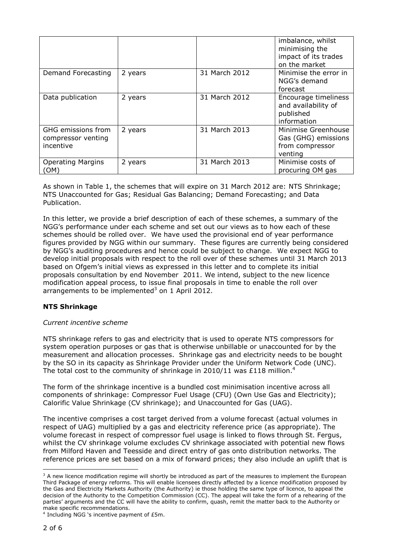|                                                       |         |               | imbalance, whilst<br>minimising the<br>impact of its trades<br>on the market |
|-------------------------------------------------------|---------|---------------|------------------------------------------------------------------------------|
| Demand Forecasting                                    | 2 years | 31 March 2012 | Minimise the error in<br>NGG's demand<br>forecast                            |
| Data publication                                      | 2 years | 31 March 2012 | Encourage timeliness<br>and availability of<br>published<br>information      |
| GHG emissions from<br>compressor venting<br>incentive | 2 years | 31 March 2013 | Minimise Greenhouse<br>Gas (GHG) emissions<br>from compressor<br>venting     |
| <b>Operating Margins</b><br>OM)                       | 2 years | 31 March 2013 | Minimise costs of<br>procuring OM gas                                        |

As shown in Table 1, the schemes that will expire on 31 March 2012 are: NTS Shrinkage; NTS Unaccounted for Gas; Residual Gas Balancing; Demand Forecasting; and Data Publication.

In this letter, we provide a brief description of each of these schemes, a summary of the NGG's performance under each scheme and set out our views as to how each of these schemes should be rolled over. We have used the provisional end of year performance figures provided by NGG within our summary. These figures are currently being considered by NGG's auditing procedures and hence could be subject to change. We expect NGG to develop initial proposals with respect to the roll over of these schemes until 31 March 2013 based on Ofgem's initial views as expressed in this letter and to complete its initial proposals consultation by end November 2011. We intend, subject to the new licence modification appeal process, to issue final proposals in time to enable the roll over arrangements to be implemented $3$  on 1 April 2012.

# **NTS Shrinkage**

# *Current incentive scheme*

NTS shrinkage refers to gas and electricity that is used to operate NTS compressors for system operation purposes or gas that is otherwise unbillable or unaccounted for by the measurement and allocation processes. Shrinkage gas and electricity needs to be bought by the SO in its capacity as Shrinkage Provider under the Uniform Network Code (UNC). The total cost to the community of shrinkage in 2010/11 was £118 million.<sup>4</sup>

The form of the shrinkage incentive is a bundled cost minimisation incentive across all components of shrinkage: Compressor Fuel Usage (CFU) (Own Use Gas and Electricity); Calorific Value Shrinkage (CV shrinkage); and Unaccounted for Gas (UAG).

The incentive comprises a cost target derived from a volume forecast (actual volumes in respect of UAG) multiplied by a gas and electricity reference price (as appropriate). The volume forecast in respect of compressor fuel usage is linked to flows through St. Fergus, whilst the CV shrinkage volume excludes CV shrinkage associated with potential new flows from Milford Haven and Teesside and direct entry of gas onto distribution networks. The reference prices are set based on a mix of forward prices; they also include an uplift that is

ł

<sup>&</sup>lt;sup>3</sup> A new licence modification regime will shortly be introduced as part of the measures to implement the European Third Package of energy reforms. This will enable licensees directly affected by a licence modification proposed by the Gas and Electricity Markets Authority (the Authority) ie those holding the same type of licence, to appeal the decision of the Authority to the Competition Commission (CC). The appeal will take the form of a rehearing of the parties' arguments and the CC will have the ability to confirm, quash, remit the matter back to the Authority or make specific recommendations.

<sup>&</sup>lt;sup>4</sup> Including NGG 's incentive payment of £5m.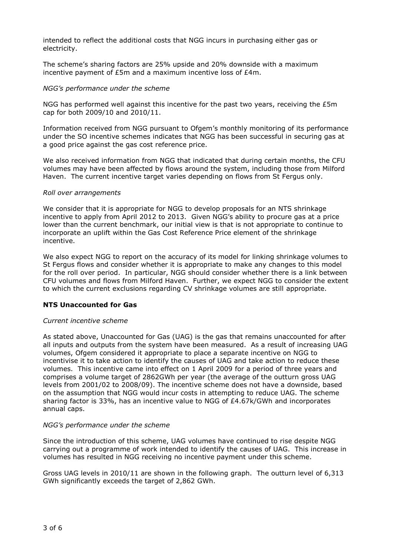intended to reflect the additional costs that NGG incurs in purchasing either gas or electricity.

The scheme's sharing factors are 25% upside and 20% downside with a maximum incentive payment of £5m and a maximum incentive loss of £4m.

## *NGG's performance under the scheme*

NGG has performed well against this incentive for the past two years, receiving the £5m cap for both 2009/10 and 2010/11.

Information received from NGG pursuant to Ofgem's monthly monitoring of its performance under the SO incentive schemes indicates that NGG has been successful in securing gas at a good price against the gas cost reference price.

We also received information from NGG that indicated that during certain months, the CFU volumes may have been affected by flows around the system, including those from Milford Haven. The current incentive target varies depending on flows from St Fergus only.

## *Roll over arrangements*

We consider that it is appropriate for NGG to develop proposals for an NTS shrinkage incentive to apply from April 2012 to 2013. Given NGG's ability to procure gas at a price lower than the current benchmark, our initial view is that is not appropriate to continue to incorporate an uplift within the Gas Cost Reference Price element of the shrinkage incentive.

We also expect NGG to report on the accuracy of its model for linking shrinkage volumes to St Fergus flows and consider whether it is appropriate to make any changes to this model for the roll over period. In particular, NGG should consider whether there is a link between CFU volumes and flows from Milford Haven. Further, we expect NGG to consider the extent to which the current exclusions regarding CV shrinkage volumes are still appropriate.

# **NTS Unaccounted for Gas**

## *Current incentive scheme*

As stated above, Unaccounted for Gas (UAG) is the gas that remains unaccounted for after all inputs and outputs from the system have been measured. As a result of increasing UAG volumes, Ofgem considered it appropriate to place a separate incentive on NGG to incentivise it to take action to identify the causes of UAG and take action to reduce these volumes. This incentive came into effect on 1 April 2009 for a period of three years and comprises a volume target of 2862GWh per year (the average of the outturn gross UAG levels from 2001/02 to 2008/09). The incentive scheme does not have a downside, based on the assumption that NGG would incur costs in attempting to reduce UAG. The scheme sharing factor is 33%, has an incentive value to NGG of  $E4.67k/GWh$  and incorporates annual caps.

## *NGG's performance under the scheme*

Since the introduction of this scheme, UAG volumes have continued to rise despite NGG carrying out a programme of work intended to identify the causes of UAG. This increase in volumes has resulted in NGG receiving no incentive payment under this scheme.

Gross UAG levels in 2010/11 are shown in the following graph. The outturn level of 6,313 GWh significantly exceeds the target of 2,862 GWh.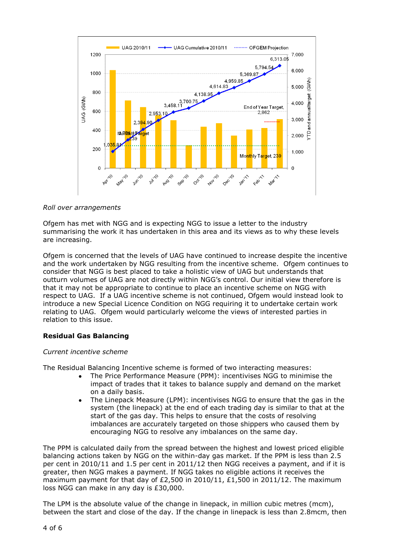

## *Roll over arrangements*

Ofgem has met with NGG and is expecting NGG to issue a letter to the industry summarising the work it has undertaken in this area and its views as to why these levels are increasing.

Ofgem is concerned that the levels of UAG have continued to increase despite the incentive and the work undertaken by NGG resulting from the incentive scheme. Ofgem continues to consider that NGG is best placed to take a holistic view of UAG but understands that outturn volumes of UAG are not directly within NGG's control. Our initial view therefore is that it may not be appropriate to continue to place an incentive scheme on NGG with respect to UAG. If a UAG incentive scheme is not continued, Ofgem would instead look to introduce a new Special Licence Condition on NGG requiring it to undertake certain work relating to UAG. Ofgem would particularly welcome the views of interested parties in relation to this issue.

# **Residual Gas Balancing**

## *Current incentive scheme*

The Residual Balancing Incentive scheme is formed of two interacting measures:

- The Price Performance Measure (PPM): incentivises NGG to minimise the impact of trades that it takes to balance supply and demand on the market on a daily basis.
- The Linepack Measure (LPM): incentivises NGG to ensure that the gas in the system (the linepack) at the end of each trading day is similar to that at the start of the gas day. This helps to ensure that the costs of resolving imbalances are accurately targeted on those shippers who caused them by encouraging NGG to resolve any imbalances on the same day.

The PPM is calculated daily from the spread between the highest and lowest priced eligible balancing actions taken by NGG on the within-day gas market. If the PPM is less than 2.5 per cent in 2010/11 and 1.5 per cent in 2011/12 then NGG receives a payment, and if it is greater, then NGG makes a payment. If NGG takes no eligible actions it receives the maximum payment for that day of £2,500 in 2010/11, £1,500 in 2011/12. The maximum loss NGG can make in any day is £30,000.

The LPM is the absolute value of the change in linepack, in million cubic metres (mcm), between the start and close of the day. If the change in linepack is less than 2.8mcm, then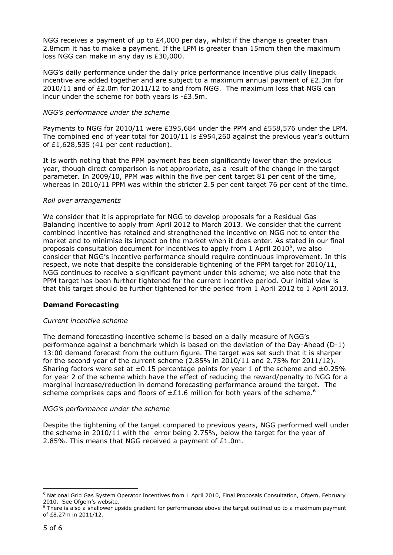NGG receives a payment of up to  $E4,000$  per day, whilst if the change is greater than 2.8mcm it has to make a payment. If the LPM is greater than 15mcm then the maximum loss NGG can make in any day is £30,000.

NGG's daily performance under the daily price performance incentive plus daily linepack incentive are added together and are subject to a maximum annual payment of  $E2.3m$  for 2010/11 and of £2.0m for 2011/12 to and from NGG. The maximum loss that NGG can incur under the scheme for both years is -£3.5m.

## *NGG's performance under the scheme*

Payments to NGG for 2010/11 were £395,684 under the PPM and £558,576 under the LPM. The combined end of year total for 2010/11 is £954,260 against the previous year's outturn of £1,628,535 (41 per cent reduction).

It is worth noting that the PPM payment has been significantly lower than the previous year, though direct comparison is not appropriate, as a result of the change in the target parameter. In 2009/10, PPM was within the five per cent target 81 per cent of the time, whereas in 2010/11 PPM was within the stricter 2.5 per cent target 76 per cent of the time.

## *Roll over arrangements*

We consider that it is appropriate for NGG to develop proposals for a Residual Gas Balancing incentive to apply from April 2012 to March 2013. We consider that the current combined incentive has retained and strengthened the incentive on NGG not to enter the market and to minimise its impact on the market when it does enter. As stated in our final proposals consultation document for incentives to apply from 1 April 2010<sup>5</sup>, we also consider that NGG's incentive performance should require continuous improvement. In this respect, we note that despite the considerable tightening of the PPM target for 2010/11, NGG continues to receive a significant payment under this scheme; we also note that the PPM target has been further tightened for the current incentive period. Our initial view is that this target should be further tightened for the period from 1 April 2012 to 1 April 2013.

# **Demand Forecasting**

## *Current incentive scheme*

The demand forecasting incentive scheme is based on a daily measure of NGG's performance against a benchmark which is based on the deviation of the Day-Ahead (D-1) 13:00 demand forecast from the outturn figure. The target was set such that it is sharper for the second year of the current scheme (2.85% in 2010/11 and 2.75% for 2011/12). Sharing factors were set at  $\pm 0.15$  percentage points for year 1 of the scheme and  $\pm 0.25\%$ for year 2 of the scheme which have the effect of reducing the reward/penalty to NGG for a marginal increase/reduction in demand forecasting performance around the target. The scheme comprises caps and floors of  $\pm$ £1.6 million for both years of the scheme.<sup>6</sup>

## *NGG's performance under the scheme*

Despite the tightening of the target compared to previous years, NGG performed well under the scheme in 2010/11 with the error being 2.75%, below the target for the year of 2.85%. This means that NGG received a payment of £1.0m.

ł <sup>5</sup> National Grid Gas System Operator Incentives from 1 April 2010, Final Proposals Consultation, Ofgem, February 2010. See Ofgem's website.

<sup>&</sup>lt;sup>6</sup> There is also a shallower upside gradient for performances above the target outlined up to a maximum payment of £8.27m in 2011/12.